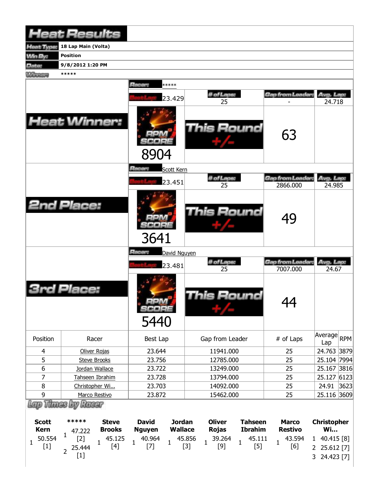|                             | <b>Heat Results</b>                      |                               |                               |                                 |                        |                                  |                                |                                 |      |
|-----------------------------|------------------------------------------|-------------------------------|-------------------------------|---------------------------------|------------------------|----------------------------------|--------------------------------|---------------------------------|------|
| Heat Type:                  | 18 Lap Main (Volta)                      |                               |                               |                                 |                        |                                  |                                |                                 |      |
| <b>Min By:</b>              | <b>Position</b>                          |                               |                               |                                 |                        |                                  |                                |                                 |      |
| Date:                       | 9/8/2012 1:20 PM                         |                               |                               |                                 |                        |                                  |                                |                                 |      |
| <b>Winners</b>              | *****                                    |                               |                               |                                 |                        |                                  |                                |                                 |      |
|                             |                                          |                               | Racer:                        | *****                           |                        |                                  |                                |                                 |      |
|                             |                                          |                               |                               | 23.429                          | # of Laps:<br>25       |                                  | Gap from Leader:               | Avg. Lap:<br>24.718             |      |
| <b>Heat Winner:</b>         |                                          |                               | 8904                          |                                 | This Round             |                                  | 63                             |                                 |      |
|                             |                                          |                               | Racer:                        | Scott Kern                      |                        |                                  |                                |                                 |      |
|                             |                                          |                               |                               |                                 | # of Laps:             |                                  | Gap from Leader:               | Avg. Lap:                       |      |
|                             |                                          |                               |                               | 23.451                          | 25                     |                                  | 2866.000                       | 24.985                          |      |
| <b>2nd Place:</b>           |                                          |                               | 3641                          |                                 | <b>This Round</b>      |                                  | 49                             |                                 |      |
|                             |                                          |                               | Racer:                        | David Nguyen                    |                        |                                  |                                |                                 |      |
|                             |                                          |                               |                               | 23.481                          | # of Laps:             |                                  | Gap from Leader:               | Avg. Lap:                       |      |
|                             |                                          |                               |                               |                                 | 25                     |                                  | 7007.000                       | 24.67                           |      |
|                             | <b>3rd Place:</b>                        |                               | $=1.4$<br>SCORE<br>5440       |                                 | This Round             |                                  | 44<br>TТ                       |                                 |      |
| Position                    | Racer                                    |                               | Best Lap                      |                                 | Gap from Leader        |                                  | # of Laps                      | Average<br>Lap                  | RPM  |
| $\overline{4}$              | Oliver Rojas                             |                               | 23.644                        |                                 | 11941.000              |                                  | 25                             | 24.763                          | 3879 |
| 5                           | <b>Steve Brooks</b>                      |                               | 23.756                        |                                 | 12785.000              |                                  | 25                             | 25.104 7994                     |      |
| $\boldsymbol{6}$            | Jordan Wallace                           |                               | 23.722                        |                                 | 13249.000              |                                  | 25                             | 25.167                          | 3816 |
| 7                           | Tahseen Ibrahim                          |                               | 23.728                        |                                 | 13794.000              |                                  | 25                             | 25.127                          | 6123 |
| $\bf 8$                     | Christopher Wi                           |                               | 23.703                        |                                 | 14092.000              |                                  | 25                             | 24.91                           | 3623 |
| $\boldsymbol{9}$            | Marco Restivo                            |                               | 23.872                        |                                 | 15462.000              |                                  | 25                             | 25.116<br>3609                  |      |
| <b>Scott</b><br><b>Kern</b> | <b>Thues by Racer</b><br>*****<br>47 222 | <b>Steve</b><br><b>Brooks</b> | <b>David</b><br><b>Nguyen</b> | <b>Jordan</b><br><b>Wallace</b> | <b>Oliver</b><br>Rojas | <b>Tahseen</b><br><b>Ibrahim</b> | <b>Marco</b><br><b>Restivo</b> | <b>Christopher</b><br><b>Wi</b> |      |

| Kern |  |        | 47.222 |  |  |  |  | Brooks Nguyen Wallace Rojas Ibrahim Restivo |  |  |  |  | Wi |                                                                                                                                                                                                                                                                                                          |  |
|------|--|--------|--------|--|--|--|--|---------------------------------------------|--|--|--|--|----|----------------------------------------------------------------------------------------------------------------------------------------------------------------------------------------------------------------------------------------------------------------------------------------------------------|--|
|      |  | $\sim$ |        |  |  |  |  |                                             |  |  |  |  |    | $1\quad 50.554$ $1\quad [2] \quad 1\quad 45.125$ $1\quad 40.964$ $1\quad 45.856$ $1\quad 39.264$ $1\quad 45.111$ $1\quad 43.594$ $1\quad 40.415$ $[8] \quad [1] \quad 2\quad 25.612$ $[7] \quad 1\quad [3] \quad 1\quad [9] \quad 1\quad [5] \quad 1\quad [6] \quad 2\quad 25.612$ $[7]$<br>3 24.423 [7] |  |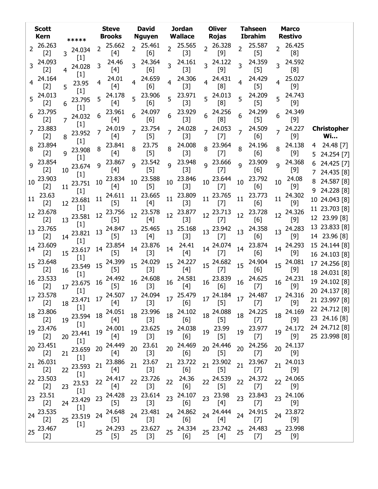|                | <b>Scott</b><br>Kern | *****                             | <b>Steve</b><br><b>Brooks</b> | <b>David</b><br><b>Nguyen</b> |                                   | <b>Jordan</b><br><b>Wallace</b>                                                                                            | <b>Oliver</b><br>Rojas                                                                                                                                                                                                |                 | <b>Tahseen</b><br><b>Ibrahim</b>                                                                                                                                                                                                                                                                                                                                                                                                                                                                                 |                | <b>Marco</b><br><b>Restivo</b> |                                    |
|----------------|----------------------|-----------------------------------|-------------------------------|-------------------------------|-----------------------------------|----------------------------------------------------------------------------------------------------------------------------|-----------------------------------------------------------------------------------------------------------------------------------------------------------------------------------------------------------------------|-----------------|------------------------------------------------------------------------------------------------------------------------------------------------------------------------------------------------------------------------------------------------------------------------------------------------------------------------------------------------------------------------------------------------------------------------------------------------------------------------------------------------------------------|----------------|--------------------------------|------------------------------------|
| $\overline{2}$ | 26.263<br>$[2]$      | 24.034<br>3                       | 25.662<br>2<br>$[4]$          |                               | 25.461<br>$\overline{2}$<br>[6]   | 25.565<br>$[3]$                                                                                                            | 26.328<br>$\overline{2}$<br>$[9]$                                                                                                                                                                                     | $\overline{2}$  | 25.587<br>$[5]$                                                                                                                                                                                                                                                                                                                                                                                                                                                                                                  | $\overline{2}$ | 26.425<br>[8]                  |                                    |
| 3              | 24.093<br>$[2]$      | $[1]$<br>24.028<br>$[1]$          | 24.46<br>3<br>[4]             |                               | 24.364<br>$\overline{3}$<br>[6]   | 24.161<br>$[3]$                                                                                                            | 3 24.122<br>[9]                                                                                                                                                                                                       | 3               | 24.359<br>$[5]$                                                                                                                                                                                                                                                                                                                                                                                                                                                                                                  | $\overline{3}$ | 24.592<br>[8]                  |                                    |
|                | 24.164<br>$[2]$      | 23.95<br>5                        | 24.01<br>$[4]$                |                               | 24.659<br>4<br>[6]                | 24.306<br>$[3]$                                                                                                            | 24.431<br>4<br>[8]                                                                                                                                                                                                    | 4               | 24.429<br>$[5]$                                                                                                                                                                                                                                                                                                                                                                                                                                                                                                  | 4              | 25.027<br>$[9]$                |                                    |
| 5              | 24.013<br>$[2]$      | $[1]$<br>23.795<br>6              | 24.178<br>5<br>[4]            | 5                             | 23.906<br>5 <sup>1</sup><br>[6]   | 23.971<br>$[3]$                                                                                                            | $5^{24.013}$<br>[8]                                                                                                                                                                                                   | 5               | 24.209<br>$[5]$                                                                                                                                                                                                                                                                                                                                                                                                                                                                                                  | 5              | 24.743<br>$[9]$                |                                    |
| 6              | 23.795<br>$[2]$      | $[1]$<br>24.032<br>$\overline{7}$ | 23.961<br>6<br>[4]            | 6                             | 24.097<br>6<br>[6]                | 23.929<br>$[3]$                                                                                                            | 24.256<br>6<br>[8]                                                                                                                                                                                                    | 6               | 24.299<br>$[5]$                                                                                                                                                                                                                                                                                                                                                                                                                                                                                                  | 6              | 24.349<br>$[9]$                |                                    |
| 7              | 23.883<br>$[2]$      | $[1]$<br>23.952<br>8              | 24.019<br>7<br>[4]            |                               | 23.754<br>$\overline{7}$<br>$[5]$ | 24.028<br>$[3]$                                                                                                            | 7 24.053<br>$[7]$                                                                                                                                                                                                     | $\overline{7}$  | 24.509<br>[6]                                                                                                                                                                                                                                                                                                                                                                                                                                                                                                    | $\overline{7}$ | 24.227<br>$[9]$                | <b>Christopher</b><br><b>Wi</b>    |
| 8              | 23.894<br>$[2]$      | $[1]$<br>23.908<br>q              | 23.841<br>8<br>$[4]$          | 8                             | 23.75<br>8<br>$[5]$               | 24.008<br>$[3]$                                                                                                            | 23.964<br>8<br>$[7]$                                                                                                                                                                                                  | 8               | 24.196<br>[6]                                                                                                                                                                                                                                                                                                                                                                                                                                                                                                    | 8              | 24.138<br>$[9]$                | 24.48 [7]<br>4<br>24.254 [7]<br>5. |
| 9              | 23.854<br>$[2]$      | $[1]$<br>23.674<br>10             | 23.867<br>9<br>[4]            | q                             | 23.542<br>9<br>$[5]$              | 23.948<br>$[3]$                                                                                                            | 9 23.666<br>$^{[7]}$                                                                                                                                                                                                  | 9               | 23.909<br>[6]                                                                                                                                                                                                                                                                                                                                                                                                                                                                                                    | $\mathsf{q}$   | 24.368<br>$[9]$                | 24.425 [7]<br>6.                   |
| 10             | 23.903<br>$[2]$      | $[1]$<br>23.751<br>11             | 23.834<br>10<br>$[4]$         | 10                            | 23.588<br>10<br>$[5]$             | 23.846<br>$[3]$                                                                                                            | 10 23.644<br>$[7]$                                                                                                                                                                                                    | 10              | 23.792<br>[6]                                                                                                                                                                                                                                                                                                                                                                                                                                                                                                    | 10             | 24.08<br>$[9]$                 | 24.435 [8]<br>24.587 [8]           |
| 11             | 23.63<br>$[2]$       | $[1]$<br>23.681<br>12             | 24.611<br>11<br>$[5]$         | $11\,$                        | 23.665<br>11<br>[4]               | 23.809<br>$[3]$                                                                                                            | 23.765<br>11<br>$[7]$                                                                                                                                                                                                 | 11              | 23.773<br>[6]                                                                                                                                                                                                                                                                                                                                                                                                                                                                                                    | 11             | 24.302<br>$[9]$                | 9 24.228 [8]<br>10 24.043 [8]      |
| 12             | 23.678<br>$[2]$      | $[1]$<br>23.581<br>13             | 23.756<br>12<br>$[5]$         | 12                            | 23.578<br>12<br>[4]               | 23.877<br>$[3]$                                                                                                            | 12 23.713<br>$[7]$                                                                                                                                                                                                    | 12              | 23.728<br>[6]                                                                                                                                                                                                                                                                                                                                                                                                                                                                                                    | 12             | 24.326<br>$[9]$                | 11 23.703 [8]<br>12 23.99 [8]      |
| 13             | 23.765<br>$[2]$      | $[1]$<br>23.821<br>14             | 24.847<br>13<br>$[5]$         | 13 25.465                     | $[4]$                             | 13 25.168<br>$[3]$                                                                                                         | 13 23.942<br>$[7]$                                                                                                                                                                                                    | 13              | 24.358<br>[6]                                                                                                                                                                                                                                                                                                                                                                                                                                                                                                    | 13             | 24.283<br>$[9]$                | 13 23.833 [8]<br>14 23.96 [8]      |
| 14             | 23.609<br>$[2]$      | $[1]$<br>23.617<br>15             | 23.854<br>14<br>$[5]$         | 14 23.876                     | 14<br>$[3]$                       | 24.41<br>$[4]$                                                                                                             | 14 24.074<br>$[7]$                                                                                                                                                                                                    | 14              | 23.874<br>[6]                                                                                                                                                                                                                                                                                                                                                                                                                                                                                                    | 14             | 24.293<br>$[9]$                | 15 24.144 [8]<br>16 24.103 [8]     |
|                | 15 23.648<br>$[2]$   | $[1]$<br>23.549<br>16             | 15 24.399<br>$[5]$            | 15 24.029                     | 15<br>$[3]$                       | 24.227<br>[4]                                                                                                              | 15 24.682<br>$[7]$                                                                                                                                                                                                    | 15 <sup>1</sup> | 24.904<br>[6]                                                                                                                                                                                                                                                                                                                                                                                                                                                                                                    |                | 15 24.081<br>$[9]$             | 17 24.256 [8]<br>18 24.031 [8]     |
| 16             | 23.533<br>$[2]$      | $[1]$<br><sub>17</sub> 23.675     | 24.492<br>16<br>$[5]$         | 16                            | 24.608<br>16<br>$[3]$             | 24.581<br>$[4]$                                                                                                            | 23.839<br>16 <sup>1</sup><br>[6]                                                                                                                                                                                      | 16              | 24.625<br>$[7]$                                                                                                                                                                                                                                                                                                                                                                                                                                                                                                  | 16             | 24.231<br>$[9]$                | 19 24.102 [8]                      |
|                | 17 23.578<br>$[2]$   | $[1]$                             | 18 23.471 17 24.507           |                               | $[3]$                             | $17\begin{array}{l}\n 24.094 \\ \hline\n 17\end{array}$ $17\begin{array}{l}\n 25.479 \\ \hline\n 161\n \end{array}$<br>[6] | 17 24.184 17 24.487 17 24.316<br>$[5]$                                                                                                                                                                                |                 | $[7]$                                                                                                                                                                                                                                                                                                                                                                                                                                                                                                            |                | $[9]$                          | 20 24.137 [8]<br>21 23.997 [8]     |
| 18             | 23.806<br>$[2]$      | $[1]$<br>19 23.594                | 24.051<br>18<br>[4]           | 18 23.996                     | $[3]$                             | 18 24.102<br>[6]                                                                                                           | 18 24.088<br>$[5]$                                                                                                                                                                                                    |                 | 18 24.225<br>$[7]$                                                                                                                                                                                                                                                                                                                                                                                                                                                                                               | 18             | 24.169<br>$[9]$                | 22 24.712 [8]<br>23 24.16 [8]      |
| 19             | 23.476<br>$[2]$      | $[1]$<br>23.441<br>20             | 19 24.001<br>[4]              | 19 23.625                     | $[3]$                             | 19 24.038<br>[6]                                                                                                           | 23.99<br>19<br>$[5]$                                                                                                                                                                                                  | 19              | 23.977<br>$[7]$                                                                                                                                                                                                                                                                                                                                                                                                                                                                                                  | 19             | 24.172<br>$[9]$                | 24 24.712 [8]<br>25 23.998 [8]     |
| 20             | 23.451<br>$[2]$      | $[1]$<br>23.659<br>21             | 24.449<br>20<br>$[4]$         | 20                            | 23.61<br>$[3]$                    | 20 24.469<br>[6]                                                                                                           | 24.446<br>20<br>$[5]$                                                                                                                                                                                                 | 20              | 24.256<br>$[7]$                                                                                                                                                                                                                                                                                                                                                                                                                                                                                                  | 20             | 24.137<br>$[9]$                |                                    |
|                | 21 26.031<br>$[2]$   | $[1]$<br>23.593<br>22             | 23.886<br>21<br>[4]           | 21                            | 23.67<br>$[3]$                    | 21 23.722<br>[6]                                                                                                           | 21 23.902<br>$[5] % \includegraphics[width=0.9\columnwidth]{figures/fig_10.pdf} \caption{The figure shows the number of times, and the number of times, and the number of times, respectively.} \label{fig:fig:time}$ | 21              | 23.967<br>$[7] \centering% \includegraphics[width=1\textwidth]{images/TransY.pdf} \caption{The first two different values of $d=3$ and $d=4$ (left) and $d=5$ (right) and $d=6$ (right) and $d=6$ (right) and $d=6$ (right) and $d=6$ (right) and $d=6$ (right) and $d=6$ (right) and $d=6$ (right) and $d=6$ (right) and $d=6$ (right) and $d=6$ (right) and $d=6$ (right) and $d=6$ (right) and $d=6$ (right) and $d=6$ (right) and $d=6$ (right) and $d=6$ (right) and $d=6$ (right) and $d=6$ (right) and $$ | 21             | 24.013<br>$[9]$                |                                    |
| 22             | 23.503<br>$[2]$      | $[1]$<br>23.53<br>23              | 24.417<br>22<br>[4]           | 22                            | 23.726<br>22<br>$[3]$             | 24.36<br>[6]                                                                                                               | 22 24.539<br>$[5]$                                                                                                                                                                                                    | 22              | 24.372<br>$[7]$                                                                                                                                                                                                                                                                                                                                                                                                                                                                                                  | 22             | 24.065<br>$[9]$                |                                    |
| 23             | 23.51<br>$[2]$       | $[1]$<br>23.429<br>24             | 24.428<br>23<br>$[5]$         | 23                            | 23.614<br>23<br>$[3]$             | 24.107<br>[6]                                                                                                              | 23.98<br>23<br>[4]                                                                                                                                                                                                    | 23              | 23.843<br>$[7]$                                                                                                                                                                                                                                                                                                                                                                                                                                                                                                  | 23             | 24.106<br>$[9]$                |                                    |
| 24             | 23.535<br>$[2]$      | $[1]$<br>23.519<br>25             | 24.648<br>24<br>$[5]$         | 24 23.481                     | 24<br>$[3]$                       | 24.862<br>[6]                                                                                                              | 24 24.444<br>$[4]$                                                                                                                                                                                                    | 24              | 24.915<br>$[7]$                                                                                                                                                                                                                                                                                                                                                                                                                                                                                                  | 24             | 23.872<br>$[9]$                |                                    |
|                | 25 23.467<br>$[2]$   | $[1]$                             | 25 24.293<br>[5]              | 25 23.627                     | [3]                               | 25 24.334<br>[6]                                                                                                           | 25 23.742<br>[4]                                                                                                                                                                                                      | 25              | 24.483<br>$[7]$                                                                                                                                                                                                                                                                                                                                                                                                                                                                                                  |                | 25 23.998<br>$[9]$             |                                    |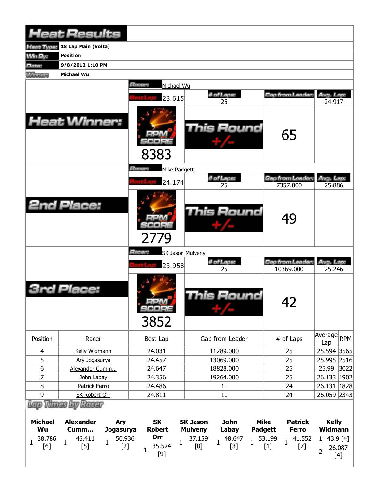|                | <b>Heat Results</b>                    |     |                                |                         |                  |             |                               |                     |      |
|----------------|----------------------------------------|-----|--------------------------------|-------------------------|------------------|-------------|-------------------------------|---------------------|------|
| leat Type:     | 18 Lap Main (Volta)                    |     |                                |                         |                  |             |                               |                     |      |
| <b>Win By:</b> | <b>Position</b>                        |     |                                |                         |                  |             |                               |                     |      |
| Date:          | 9/8/2012 1:10 PM                       |     |                                |                         |                  |             |                               |                     |      |
| <b>Winners</b> | <b>Michael Wu</b>                      |     |                                |                         |                  |             |                               |                     |      |
|                |                                        |     | Racer:<br>Michael Wu<br>23.615 |                         | # of Laps:<br>25 |             | Gap from Leader:              | Avg. Lap:<br>24.917 |      |
|                | <b>Heat Winner:</b>                    |     | 8383                           |                         | This Round       |             | 65                            |                     |      |
|                |                                        |     | Racer:<br>Mike Padgett         |                         |                  |             |                               |                     |      |
|                |                                        |     |                                |                         | # of Laps:       |             | <b>Gap from Leader:</b>       | Avg. Lap:           |      |
|                |                                        |     | 24.174                         |                         | 25               |             | 7357.000                      | 25.886              |      |
|                | <b>2nd Place:</b>                      |     | 2779                           |                         | This Round       |             | 49                            |                     |      |
|                |                                        |     | Racer:                         | <b>SK Jason Mulveny</b> |                  |             |                               |                     |      |
|                |                                        |     | 23.958                         |                         | # of Laps:<br>25 |             | Gap from Leader.<br>10369.000 | Avg. Lap:<br>25.246 |      |
|                | Place:                                 |     | <b>MAG</b><br>SCOPE<br>3852    |                         | This Round       |             | 42                            |                     |      |
| Position       | Racer                                  |     | Best Lap                       |                         | Gap from Leader  |             | # of Laps                     | Average RPM<br>Lap  |      |
| 4              | Kelly Widmann                          |     | 24.031                         |                         | 11289.000        |             | 25                            | 25.594 3565         |      |
| 5              | Ary Jogasurya                          |     | 24.457                         |                         | 13069.000        |             | 25                            | 25.995 2516         |      |
| 6              | Alexander Cumm                         |     | 24.647                         |                         | 18828.000        |             | 25                            | 25.99               | 3022 |
| 7              | John Labay                             |     | 24.356                         |                         | 19264.000        |             | 25                            | 26.133   1902       |      |
| 8              | Patrick Ferro                          |     | 24.486                         |                         | 1L               |             | 24                            | 26.131   1828       |      |
| 9              | <b>SK Robert Orr</b>                   |     | 24.811                         |                         | 1L               |             | 24                            | 26.059 2343         |      |
| <b>Michael</b> | Lap Thues by Racer<br><b>Alexander</b> | Ary | <b>SK</b>                      | <b>SK Jason</b>         | <b>John</b>      | <b>Mike</b> | <b>Patrick</b>                | <b>Kelly</b>        |      |

| michael                                         | Alexanger     | <b>Arv</b>                      | ж             | <b>SK Jason</b> | Jonn  | міке    | Patrick | <b>Kelly</b> |
|-------------------------------------------------|---------------|---------------------------------|---------------|-----------------|-------|---------|---------|--------------|
| Wu                                              | Cumm          | Jogasurya                       | <b>Robert</b> | <b>Mulveny</b>  | Labay | Padgett | Ferro   | Widmann      |
| $\begin{array}{ccccc} & 38.786 & & \end{array}$ | 46.411<br>[5] | 50.936<br>$\overline{r}$<br>[2] | Orr<br>35.574 |                 |       |         |         |              |